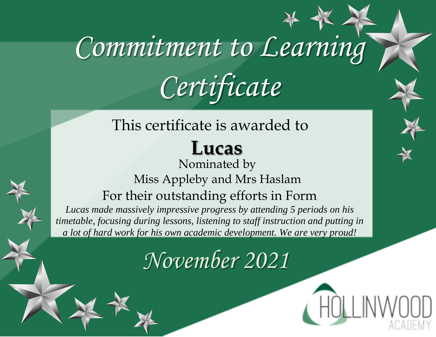#### This certificate is awarded to

### **Lucas**

#### Nominated by Miss Appleby and Mrs Haslam For their outstanding efforts in Form

*Lucas made massively impressive progress by attending 5 periods on his timetable, focusing during lessons, listening to staff instruction and putting in a lot of hard work for his own academic development. We are very proud!*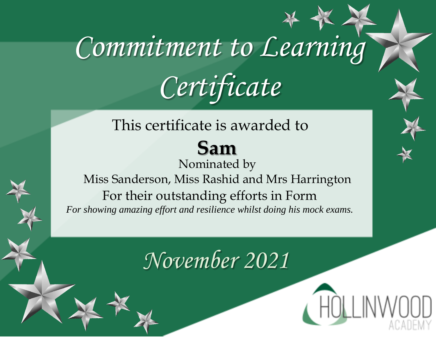#### This certificate is awarded to **Sam**  Nominated by Miss Sanderson, Miss Rashid and Mrs Harrington For their outstanding efforts in Form *For showing amazing effort and resilience whilst doing his mock exams.*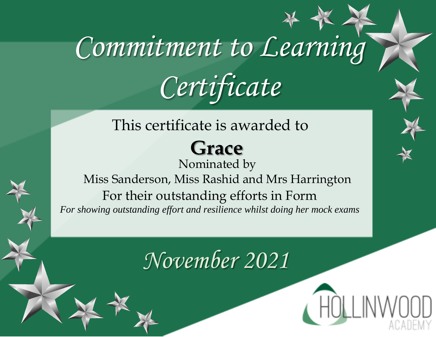#### This certificate is awarded to

### **Grace**

Nominated by Miss Sanderson, Miss Rashid and Mrs Harrington For their outstanding efforts in Form *For showing outstanding effort and resilience whilst doing her mock exams*

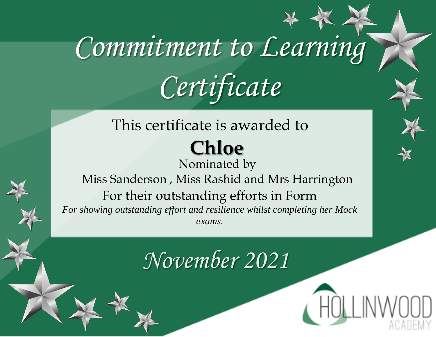#### This certificate is awarded to **Chloe**

Nominated by Miss Sanderson , Miss Rashid and Mrs Harrington For their outstanding efforts in Form *For showing outstanding effort and resilience whilst completing her Mock exams.*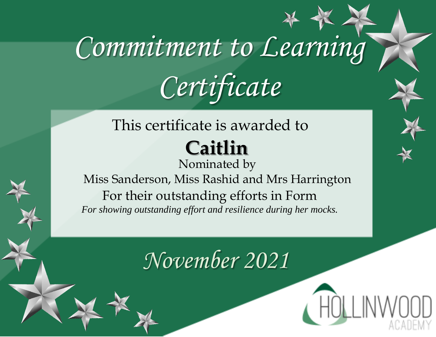#### This certificate is awarded to **Caitlin**

Nominated by Miss Sanderson, Miss Rashid and Mrs Harrington For their outstanding efforts in Form *For showing outstanding effort and resilience during her mocks.*

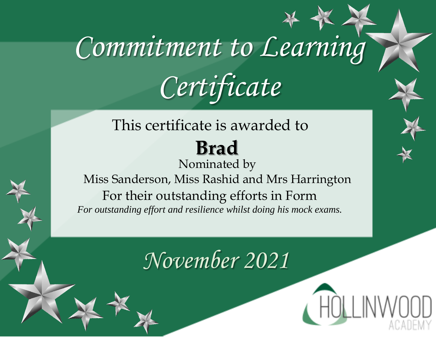#### This certificate is awarded to **Brad**  Nominated by Miss Sanderson, Miss Rashid and Mrs Harrington For their outstanding efforts in Form *For outstanding effort and resilience whilst doing his mock exams.*

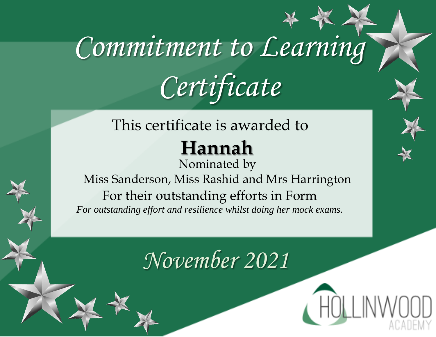#### This certificate is awarded to

### **Hannah**

Nominated by Miss Sanderson, Miss Rashid and Mrs Harrington For their outstanding efforts in Form *For outstanding effort and resilience whilst doing her mock exams.*

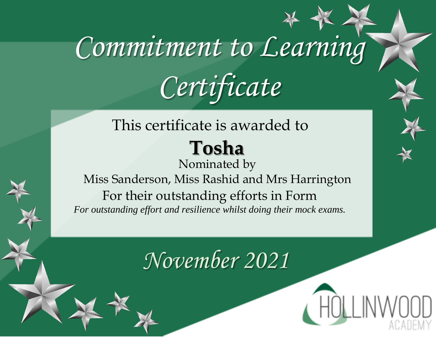#### This certificate is awarded to **Tosha**

Nominated by Miss Sanderson, Miss Rashid and Mrs Harrington For their outstanding efforts in Form *For outstanding effort and resilience whilst doing their mock exams.*

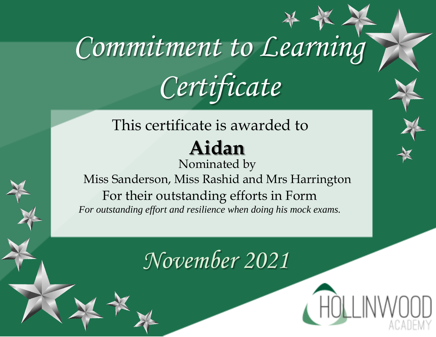#### This certificate is awarded to **Aidan**  Nominated by

Miss Sanderson, Miss Rashid and Mrs Harrington For their outstanding efforts in Form *For outstanding effort and resilience when doing his mock exams.*

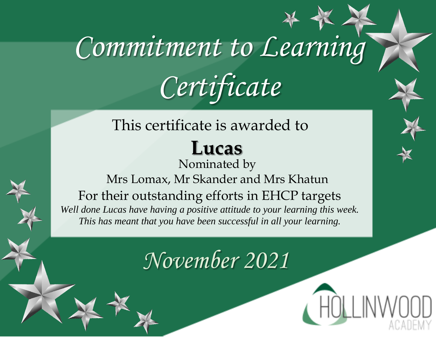### This certificate is awarded to

### **Lucas**

Nominated by Mrs Lomax, Mr Skander and Mrs Khatun For their outstanding efforts in EHCP targets *Well done Lucas have having a positive attitude to your learning this week. This has meant that you have been successful in all your learning.*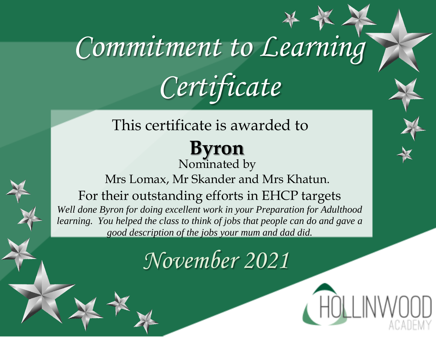#### This certificate is awarded to

#### **Byron** Nominated by

Mrs Lomax, Mr Skander and Mrs Khatun. For their outstanding efforts in EHCP targets *Well done Byron for doing excellent work in your Preparation for Adulthood learning. You helped the class to think of jobs that people can do and gave a good description of the jobs your mum and dad did.*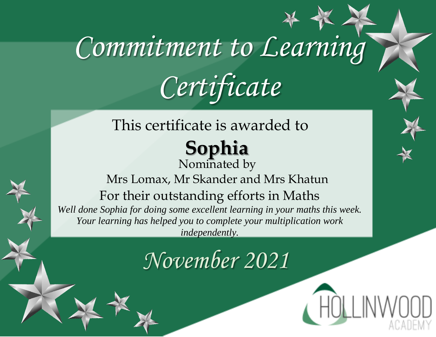## This certificate is awarded to

#### **Sophia** Nominated by

#### Mrs Lomax, Mr Skander and Mrs Khatun For their outstanding efforts in Maths *Well done Sophia for doing some excellent learning in your maths this week. Your learning has helped you to complete your multiplication work*

*independently.*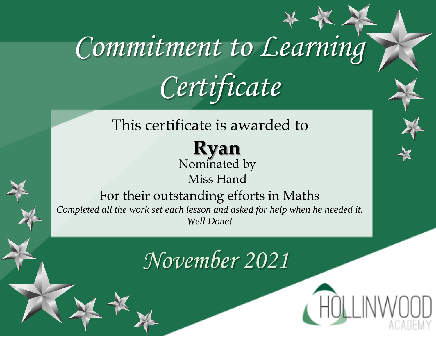#### This certificate is awarded to

**Ryan** Nominated by Miss Hand

#### For their outstanding efforts in Maths

*Completed all the work set each lesson and asked for help when he needed it. Well Done!*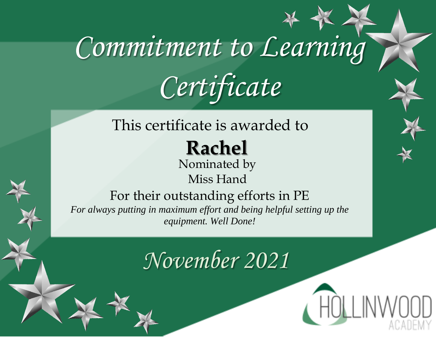#### This certificate is awarded to

**Rachel**

Nominated by Miss Hand

For their outstanding efforts in PE

*For always putting in maximum effort and being helpful setting up the equipment. Well Done!*

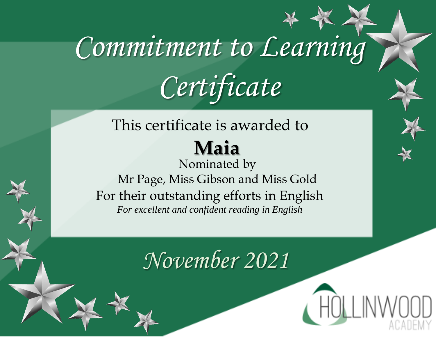#### This certificate is awarded to **Maia**  Nominated by

Mr Page, Miss Gibson and Miss Gold For their outstanding efforts in English *For excellent and confident reading in English*

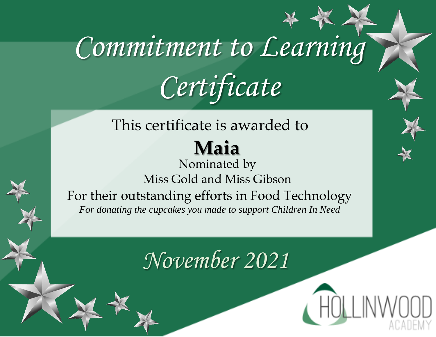### This certificate is awarded to

#### **Maia**

Nominated by Miss Gold and Miss Gibson For their outstanding efforts in Food Technology *For donating the cupcakes you made to support Children In Need*

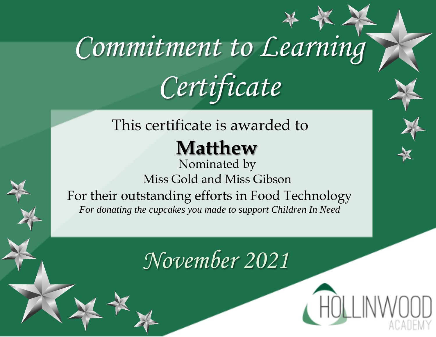#### This certificate is awarded to

### **Matthew**

Nominated by Miss Gold and Miss Gibson For their outstanding efforts in Food Technology *For donating the cupcakes you made to support Children In Need*

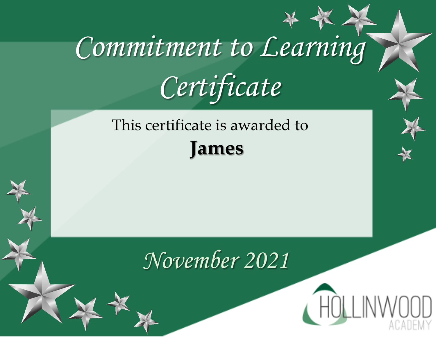This certificate is awarded to **James** 

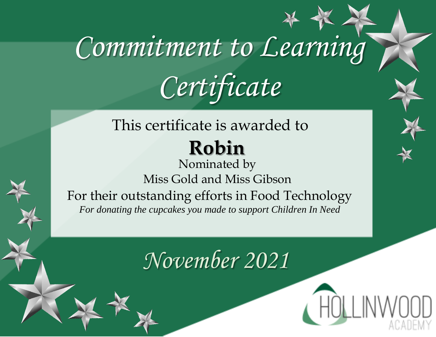#### This certificate is awarded to **Robin**

Nominated by Miss Gold and Miss Gibson For their outstanding efforts in Food Technology *For donating the cupcakes you made to support Children In Need*

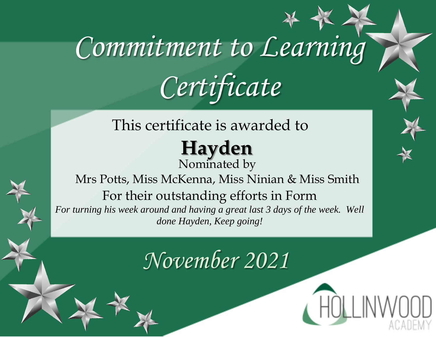#### This certificate is awarded to

#### **Hayden**  Nominated by

Mrs Potts, Miss McKenna, Miss Ninian & Miss Smith For their outstanding efforts in Form *For turning his week around and having a great last 3 days of the week. Well done Hayden, Keep going!*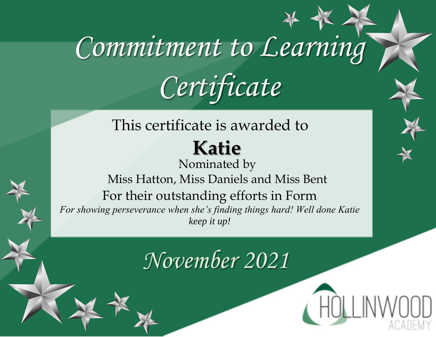#### This certificate is awarded to

### **Katie**

Nominated by Miss Hatton, Miss Daniels and Miss Bent For their outstanding efforts in Form *For showing perseverance when she's finding things hard! Well done Katie keep it up!*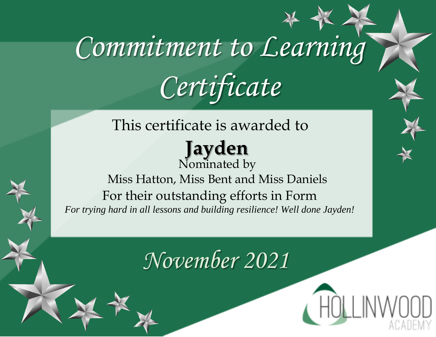This certificate is awarded to

**Jayden**  Nominated by Miss Hatton, Miss Bent and Miss Daniels For their outstanding efforts in Form *For trying hard in all lessons and building resilience! Well done Jayden!*

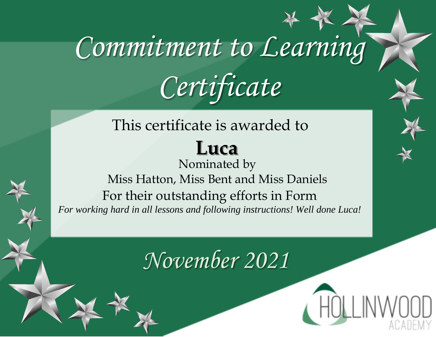### This certificate is awarded to

### **Luca**

Nominated by Miss Hatton, Miss Bent and Miss Daniels For their outstanding efforts in Form *For working hard in all lessons and following instructions! Well done Luca!*

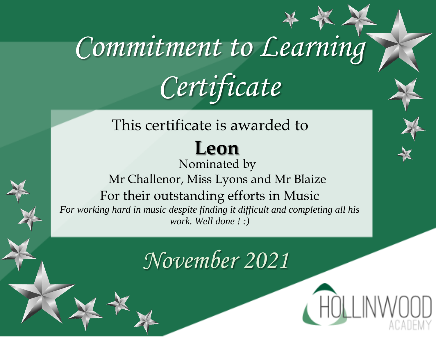## This certificate is awarded to

**Leon**  Nominated by Mr Challenor, Miss Lyons and Mr Blaize For their outstanding efforts in Music *For working hard in music despite finding it difficult and completing all his work. Well done ! :)*